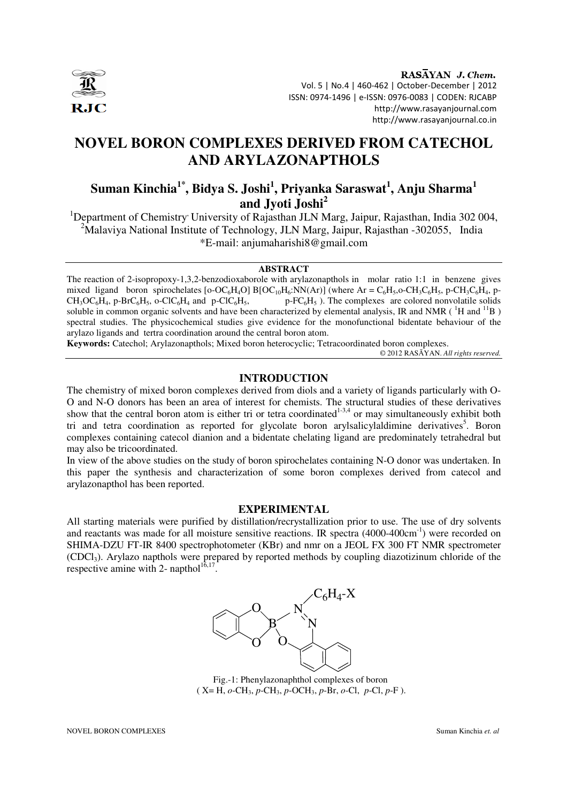

RASAYAN J. Chem. Vol. 5 | No.4 | 460-462 | October-December | 2012 ISSN: 0974-1496 | e-ISSN: 0976-0083 | CODEN: RJCABP http://www.rasayanjournal.com http://www.rasayanjournal.co.in

# **NOVEL BORON COMPLEXES DERIVED FROM CATECHOL AND ARYLAZONAPTHOLS**

## **Suman Kinchia1\*, Bidya S. Joshi<sup>1</sup> , Priyanka Saraswat<sup>1</sup> , Anju Sharma<sup>1</sup> and Jyoti Joshi<sup>2</sup>**

<sup>1</sup>Department of Chemistry' University of Rajasthan JLN Marg, Jaipur, Rajasthan, India 302 004, <sup>2</sup>Malaviya National Institute of Technology, JLN Marg, Jaipur, Rajasthan  $-302055$ , India \*E-mail: anjumaharishi8@gmail.com

#### **ABSTRACT**

The reaction of 2-isopropoxy-1,3,2-benzodioxaborole with arylazonapthols in molar ratio 1:1 in benzene gives mixed ligand boron spirochelates [o-OC<sub>6</sub>H<sub>4</sub>O] B[OC<sub>10</sub>H<sub>6</sub>:NN(Ar)] (where Ar = C<sub>6</sub>H<sub>5</sub>,o-CH<sub>3</sub>C<sub>6</sub>H<sub>5</sub>, p-CH<sub>3</sub>C<sub>6</sub>H<sub>4</sub>, p-CH<sub>3</sub>C<sub>6</sub>H<sub>5</sub>, o-ClC<sub>6</sub>H<sub>4</sub> and p-ClC<sub>6</sub>H<sub>5</sub>, p-FC<sub>6</sub>H<sub>5</sub>). The complexes are colored nonvolati  $p-FC_6H_5$ ). The complexes are colored nonvolatile solids soluble in common organic solvents and have been characterized by elemental analysis, IR and NMR (<sup>1</sup>H and <sup>11</sup>B) spectral studies. The physicochemical studies give evidence for the monofunctional bidentate behaviour of the arylazo ligands and tertra coordination around the central boron atom.

**Keywords:** Catechol; Arylazonapthols; Mixed boron heterocyclic; Tetracoordinated boron complexes.

© 2012 RASĀYAN. *All rights reserved.*

#### **INTRODUCTION**

The chemistry of mixed boron complexes derived from diols and a variety of ligands particularly with O-O and N-O donors has been an area of interest for chemists. The structural studies of these derivatives show that the central boron atom is either tri or tetra coordinated<sup>1-3,4</sup> or may simultaneously exhibit both tri and tetra coordination as reported for glycolate boron arylsalicylaldimine derivatives<sup>5</sup>. Boron complexes containing catecol dianion and a bidentate chelating ligand are predominately tetrahedral but may also be tricoordinated.

In view of the above studies on the study of boron spirochelates containing N-O donor was undertaken. In this paper the synthesis and characterization of some boron complexes derived from catecol and arylazonapthol has been reported.

#### **EXPERIMENTAL**

All starting materials were purified by distillation/recrystallization prior to use. The use of dry solvents and reactants was made for all moisture sensitive reactions. IR spectra (4000-400cm<sup>-1</sup>) were recorded on SHIMA-DZU FT-IR 8400 spectrophotometer (KBr) and nmr on a JEOL FX 300 FT NMR spectrometer (CDCl3). Arylazo napthols were prepared by reported methods by coupling diazotizinum chloride of the respective amine with 2- napthol<sup>16,17</sup>.



Fig.-1: Phenylazonaphthol complexes of boron ( X= H, *o*-CH3, *p*-CH3, *p*-OCH3, *p*-Br, *o*-Cl, *p*-Cl, *p*-F ).

NOVEL BORON COMPLEXES Suman Kinchia *et. al*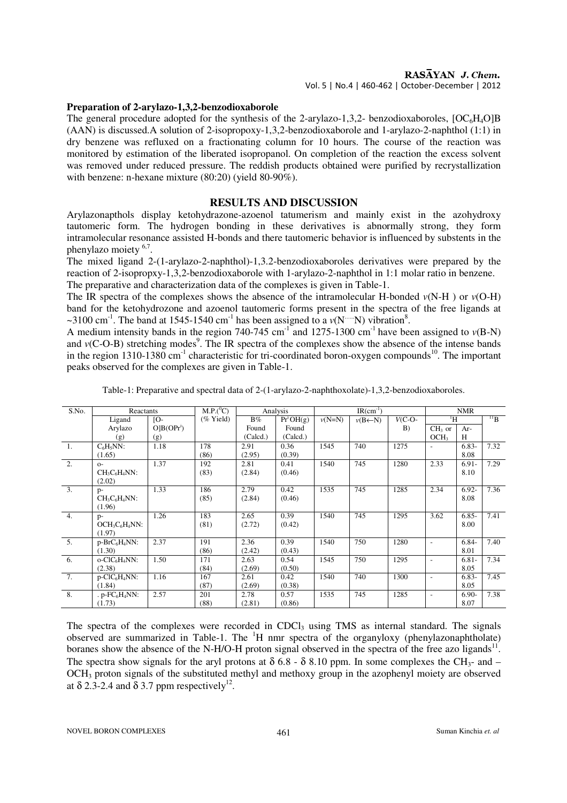#### RASAYAN J. Chem.

Vol. 5 | No.4 | 460-462 | October-December | 2012

#### **Preparation of 2-arylazo-1,3,2-benzodioxaborole**

The general procedure adopted for the synthesis of the 2-arylazo-1,3,2- benzodioxaboroles,  $[OC_6H_4O]B$ (AAN) is discussed.A solution of 2-isopropoxy-1,3,2-benzodioxaborole and 1-arylazo-2-naphthol (1:1) in dry benzene was refluxed on a fractionating column for 10 hours. The course of the reaction was monitored by estimation of the liberated isopropanol. On completion of the reaction the excess solvent was removed under reduced pressure. The reddish products obtained were purified by recrystallization with benzene: n-hexane mixture (80:20) (yield 80-90%).

#### **RESULTS AND DISCUSSION**

Arylazonapthols display ketohydrazone-azoenol tatumerism and mainly exist in the azohydroxy tautomeric form. The hydrogen bonding in these derivatives is abnormally strong, they form intramolecular resonance assisted H-bonds and there tautomeric behavior is influenced by substents in the phenylazo moiety <sup>6,7</sup>.

The mixed ligand 2-(1-arylazo-2-naphthol)-1,3.2-benzodioxaboroles derivatives were prepared by the reaction of 2-isopropxy-1,3,2-benzodioxaborole with 1-arylazo-2-naphthol in 1:1 molar ratio in benzene. The preparative and characterization data of the complexes is given in Table-1.

The IR spectra of the complexes shows the absence of the intramolecular H-bonded  $v(N-H)$  or  $v(O-H)$ band for the ketohydrozone and azoenol tautomeric forms present in the spectra of the free ligands at ~3100 cm<sup>-1</sup>. The band at 1545-1540 cm<sup>-1</sup> has been assigned to a  $v(N^{...}N)$  vibration<sup>8</sup>.

A medium intensity bands in the region 740-745 cm<sup>-1</sup> and  $1275-1300$  cm<sup>-1</sup> have been assigned to  $v(B-N)$ and  $v(C-O-B)$  stretching modes<sup>9</sup>. The IR spectra of the complexes show the absence of the intense bands in the region 1310-1380 cm<sup>-1</sup> characteristic for tri-coordinated boron-oxygen compounds<sup>10</sup>. The important peaks observed for the complexes are given in Table-1.

| S.No.            | Reactants                                |              | $M.P.(^0C)$  | Analysis |             | $IR(cm^{-1})$ |                     |          | <b>NMR</b>               |          |          |
|------------------|------------------------------------------|--------------|--------------|----------|-------------|---------------|---------------------|----------|--------------------------|----------|----------|
|                  | Ligand                                   | $[0 -$       | $(\%$ Yield) | $B\%$    | $Pr^iOH(g)$ | $v(N=N)$      | $v(B \leftarrow N)$ | $V(C-O-$ | $\rm ^1H$                |          | $^{11}B$ |
|                  | Arylazo                                  | $O B(OPr^i)$ |              | Found    | Found       |               |                     | B)       | $CH3$ or                 | $Ar-$    |          |
|                  | (g)                                      | (g)          |              | (Calcd.) | (Calcd.)    |               |                     |          | OCH <sub>3</sub>         | Η        |          |
| 1.               | $C_6H_5NN$ :                             | 1.18         | 178          | 2.91     | 0.36        | 1545          | 740                 | 1275     | $\overline{\phantom{a}}$ | $6.83-$  | 7.32     |
|                  | (1.65)                                   |              | (86)         | (2.95)   | (0.39)      |               |                     |          |                          | 8.08     |          |
| 2.               | $O-$                                     | 1.37         | 192          | 2.81     | 0.41        | 1540          | 745                 | 1280     | 2.33                     | $6.91 -$ | 7.29     |
|                  | $CH3C6H4NN:$                             |              | (83)         | (2.84)   | (0.46)      |               |                     |          |                          | 8.10     |          |
|                  | (2.02)                                   |              |              |          |             |               |                     |          |                          |          |          |
| $\overline{3}$ . | $p-$                                     | 1.33         | 186          | 2.79     | 0.42        | 1535          | 745                 | 1285     | 2.34                     | $6.92 -$ | 7.36     |
|                  | $CH3C6H4NN:$                             |              | (85)         | (2.84)   | (0.46)      |               |                     |          |                          | 8.08     |          |
|                  | (1.96)                                   |              |              |          |             |               |                     |          |                          |          |          |
| 4.               | $p-$                                     | 1.26         | 183          | 2.65     | 0.39        | 1540          | 745                 | 1295     | 3.62                     | $6.85 -$ | 7.41     |
|                  | $OCH3C6H4NN:$                            |              | (81)         | (2.72)   | (0.42)      |               |                     |          |                          | 8.00     |          |
|                  | (1.97)                                   |              |              |          |             |               |                     |          |                          |          |          |
| 5.               | $p-BrC_6H_4NN$ :                         | 2.37         | 191          | 2.36     | 0.39        | 1540          | 750                 | 1280     | $\overline{\phantom{a}}$ | $6.84-$  | 7.40     |
|                  | (1.30)                                   |              | (86)         | (2.42)   | (0.43)      |               |                     |          |                          | 8.01     |          |
| 6.               | $o$ -ClC <sub>6</sub> H <sub>4</sub> NN: | 1.50         | 171          | 2.63     | 0.54        | 1545          | 750                 | 1295     | $\overline{a}$           | $6.81 -$ | 7.34     |
|                  | (2.38)                                   |              | (84)         | (2.69)   | (0.50)      |               |                     |          |                          | 8.05     |          |
| 7.               | $p$ -ClC <sub>6</sub> H <sub>4</sub> NN: | 1.16         | 167          | 2.61     | 0.42        | 1540          | 740                 | 1300     | $\overline{a}$           | $6.83-$  | 7.45     |
|                  | (1.84)                                   |              | (87)         | (2.69)   | (0.38)      |               |                     |          |                          | 8.05     |          |
| 8.               | $p$ -FC $_6$ H <sub>4</sub> NN:          | 2.57         | 201          | 2.78     | 0.57        | 1535          | 745                 | 1285     | $\overline{a}$           | $6.90 -$ | 7.38     |
|                  | (1.73)                                   |              | (88)         | (2.81)   | (0.86)      |               |                     |          |                          | 8.07     |          |

Table-1: Preparative and spectral data of 2-(1-arylazo-2-naphthoxolate)-1,3,2-benzodioxaboroles.

The spectra of the complexes were recorded in CDCl<sub>3</sub> using TMS as internal standard. The signals observed are summarized in Table-1. The  ${}^{1}H$  nmr spectra of the organyloxy (phenylazonaphtholate) boranes show the absence of the N-H/O-H proton signal observed in the spectra of the free azo ligands<sup>11</sup>. The spectra show signals for the aryl protons at  $\delta$  6.8 -  $\delta$  8.10 ppm. In some complexes the CH<sub>3</sub>- and – OCH<sub>3</sub> proton signals of the substituted methyl and methoxy group in the azophenyl moiety are observed at  $\delta$  2.3-2.4 and  $\delta$  3.7 ppm respectively<sup>12</sup>.